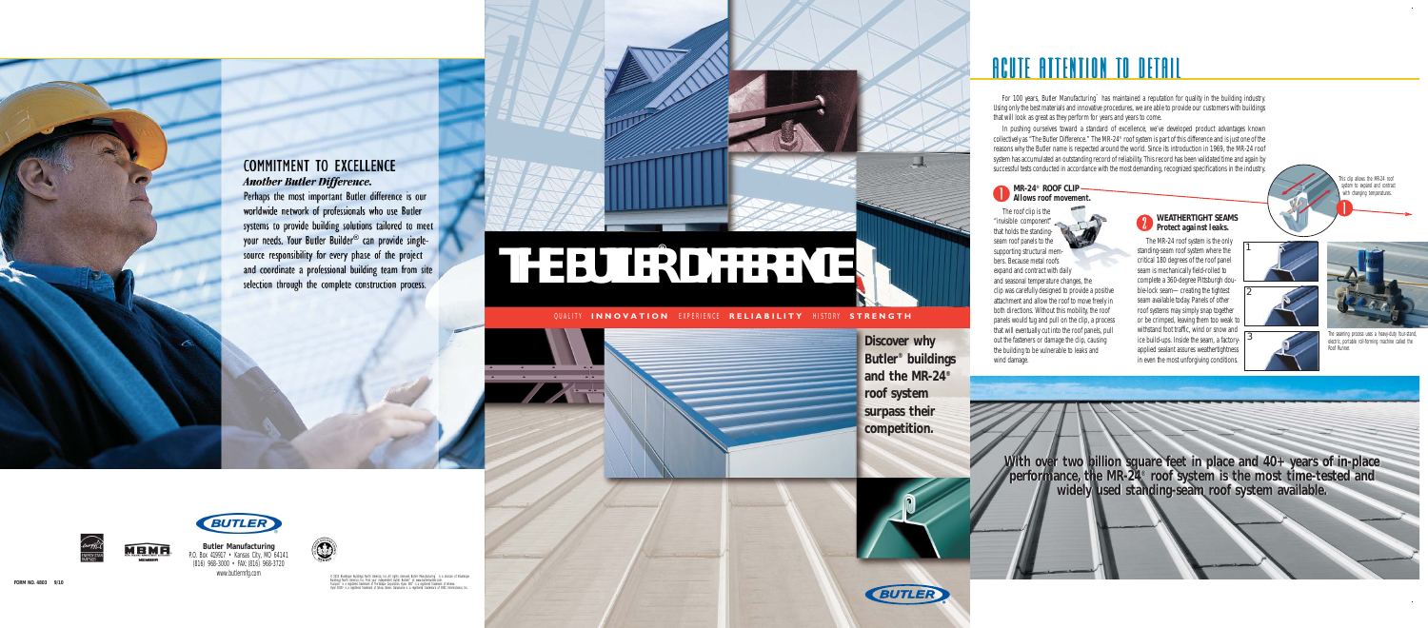

## **COMMITMENT TO EXCELLENCE Another Butler Difference.**

Perhaps the most important Butler difference is our worldwide network of professionals who use Butler systems to provide building solutions tailored to meet your needs. Your Butler Builder® can provide singlesource responsibility for every phase of the project and coordinate a professional building team from site selection through the complete construction process.



#### **MR-24® ROOF CLIP Allows roof movement.**

The roof clip is the "invisible component" that holds the standingseam roof panels to the supporting structural members. Because metal roofs expand and contract with daily and seasonal temperature changes, the clip was carefully designed to provide a positive attachment and allow the roof to move freely in both directions. Without this mobility, the roof panels would tug and pull on the clip, a process that will eventually cut into the roof panels, pull out the fasteners or damage the clip, causing the building to be vulnerable to leaks and wind damage.

#### **WEATHERTIGHT SEAMS** *Protect against leaks.*

The seaming process uses a heavy-duty four-stand, electric, portable roll-forming machine called the Roof Runner.

For 100 years, Butler Manufacturing™ has maintained a reputation for quality in the building industry. Using only the best materials and innovative procedures, we are able to provide our customers with buildings that will look as great as they perform for years and years to come.

In pushing ourselves toward a standard of excellence, we've developed product advantages known collectively as "The Butler Difference." The MR-24® roof system is part of this difference and is just one of the reasons why the Butler name is respected around the world. Since its introduction in 1969, the MR-24 roof system has accumulated an outstanding record of reliability. This record has been validated time and again by successful tests conducted in accordance with the most demanding, recognized specifications in the industry.

> The MR-24 roof system is the only standing-seam roof system where the critical 180 degrees of the roof panel seam is mechanically field-rolled to complete a 360-degree Pittsburgh double-lock seam—creating the tightest seam available today. Panels of other roof systems may simply snap together or be crimped, leaving them too weak to withstand foot traffic, wind or snow and ice build-ups. Inside the seam, a factory-**3** applied sealant assures weathertightness in even the most unforgiving conditions.

his clip allows the MR-24 roof system to expand and contract with changing temperatures.







**With over two billion square feet in place and 40+ years of in-place performance, the MR-24® roof system is the most time-tested and widely used standing-seam roof system available. With over two billion square feet in place and 40+ years of in-place performance, the MR-24® roof system is the most time-tested and widely used standing-seam roof system available.**





#### QUALITY **INNOVATION** EXPERIENCE **RELIABILITY** HISTORY **STRENGTH**







**Discover why Butler® buildings and the MR-24® roof system surpass their competition.**

# <u>ACUTE ATTENTION TO DETAIL</u>

# **THE BUTLE R DIFFERENCE** ®



**Butler Manufacturing** P.O. Box 419917 • Kansas City, MO 64141 (816) 968-3000 • FAX:(816) 968-3720

**BUTLEI** 



e 2010 BlueSoppe Buildings North America, Inc. All rights reserved. Butler Manufacturing" is a division of BlueSoppe<br>Buildings North America, Inc. Find your independent butler Builder" at www.butlerbuilder.com.<br>Hungo 6000"